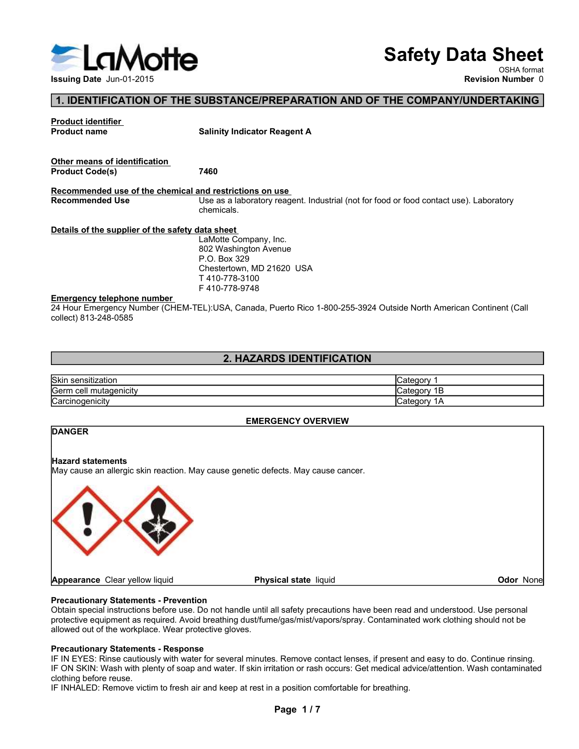

# Safety Data Sheet

# 1. IDENTIFICATION OF THE SUBSTANCE/PREPARATION AND OF THE COMPANY/UNDERTAKING

| <b>ELaMotte</b>                                  |                                                                                                                                                                 | <b>Safety Data Sheet</b>  |                          |
|--------------------------------------------------|-----------------------------------------------------------------------------------------------------------------------------------------------------------------|---------------------------|--------------------------|
|                                                  |                                                                                                                                                                 |                           | OSHA format              |
| <b>Issuing Date Jun-01-2015</b>                  |                                                                                                                                                                 |                           | <b>Revision Number 0</b> |
|                                                  | 1. IDENTIFICATION OF THE SUBSTANCE/PREPARATION AND OF THE COMPANY/UNDERTAKING                                                                                   |                           |                          |
| <b>Product identifier</b><br><b>Product name</b> | <b>Salinity Indicator Reagent A</b>                                                                                                                             |                           |                          |
| Other means of identification                    |                                                                                                                                                                 |                           |                          |
| <b>Product Code(s)</b>                           | 7460                                                                                                                                                            |                           |                          |
| <b>Recommended Use</b>                           | Recommended use of the chemical and restrictions on use<br>Use as a laboratory reagent. Industrial (not for food or food contact use). Laboratory<br>chemicals. |                           |                          |
| Details of the supplier of the safety data sheet |                                                                                                                                                                 |                           |                          |
|                                                  | LaMotte Company, Inc.<br>802 Washington Avenue                                                                                                                  |                           |                          |
|                                                  | P.O. Box 329<br>Chestertown, MD 21620 USA                                                                                                                       |                           |                          |
|                                                  | T410-778-3100                                                                                                                                                   |                           |                          |
| <b>Emergency telephone number</b>                | F410-778-9748                                                                                                                                                   |                           |                          |
| collect) 813-248-0585                            | 24 Hour Emergency Number (CHEM-TEL):USA, Canada, Puerto Rico 1-800-255-3924 Outside North American Continent (Call                                              |                           |                          |
|                                                  | 2. HAZARDS IDENTIFICATION                                                                                                                                       |                           |                          |
|                                                  |                                                                                                                                                                 |                           |                          |
| Skin sensitization<br>Germ cell mutagenicity     |                                                                                                                                                                 | Category 1<br>Category 1B |                          |
| Carcinogenicity                                  |                                                                                                                                                                 | Category 1A               |                          |
|                                                  | <b>EMERGENCY OVERVIEW</b>                                                                                                                                       |                           |                          |
| <b>DANGER</b>                                    |                                                                                                                                                                 |                           |                          |
|                                                  |                                                                                                                                                                 |                           |                          |
| <b>Hazard statements</b>                         | May cause an allergic skin reaction. May cause genetic defects. May cause cancer.                                                                               |                           |                          |
|                                                  |                                                                                                                                                                 |                           |                          |
|                                                  |                                                                                                                                                                 |                           |                          |
|                                                  |                                                                                                                                                                 |                           |                          |
|                                                  |                                                                                                                                                                 |                           |                          |

# 2. HAZARDS IDENTIFICATION

| <b>Skin</b>                         | intonon       |
|-------------------------------------|---------------|
| sensitization                       | valcuu        |
| <b>Serm</b><br>mutagenicity<br>cell | :ategorٽ<br>۰ |
| ∽                                   | lualeud       |
| <b>Carcinogenicity</b>              | $\sqrt{ }$    |

# EMERGENCY OVERVIEW

# **EXERCT SCALL STATE STATE AND SUBDENTIFICATION**<br>
Stategory 1<br>
Category 1<br>
Category 1<br>
Category 1<br>
DANGER<br>
Hazard statements<br>
May cause an allergic skin reaction. May cause genetic defects. May cause cancer.<br>
May cause an a Skin sensitization<br>
Caregory 1<br>
Caregory 16<br>
Caregory 16<br>
Danviders<br>
Hazard statements<br>
May cause an allergic skin reaction. May cause genetic defects. May cause cancer.<br>
May cause an allergic skin reaction. May cause gene **Skin sensitzerion**<br>
Carinogenicity<br>
Carinogenicity<br>
Carinogenicity<br>
May data an alternation<br>
May cause an alternation<br>
May cause an alternation<br>
May cause an alternation<br>
Propartion of Schements - Prevention<br>
Dictain spec Carrier Control Thuiagenicity<br>
Carrier Control Thuiagenicity<br>
Carrier Control Thuiagenicity<br>
Maxard statements<br>
May cause an allergic skin reaction. May cause genetic defects. May cause cancer.<br>
May cause an allergic skin EMERGENCY OVERVIEW<br>
PLARART STATE THE EXECUTION CONTROL TO UNITS ARE THE MANUSCUS MANUSCUS MANUSCUS AND CAUSE THE MANUSCUS AND CAUSE THE MANUSCUS AND CAUSE THE MANUSCUS AND CONTROLLED THE MANUSCUS DEPENDENCE INTO DETECT TH EMERGENCY OVERVIEW<br>
Hazard statements<br>
May cause an allergic skin reaction. May cause genetic defects. May cause cancer.<br>
May cause an allergic skin reaction. May cause genetic defects. May cause cancer.<br>
<br> **Procautionary** EMIENCERIC WEINSTEIN: WEINSTEIN: WEINSTEIN: WEINSTEIN: WEINSTEIN: Weildlich please can<br>
May cause an allergic skin reaction. May cause genetic defects. May cause cancer.<br> **Propartical and and the plenty of solar plenty of** DANGER<br>
May cause an allergic skin reaction. May cause genetic defects. May cause cancer.<br>
May cause an allergic skin reaction. May cause genetic defects. May cause cancer.<br> **Physical state** liquid<br> **Physical state** liquid **IF INTERNALED:** Remove victim to fresh air and keep at rest in a position comfortable for the although the frequention of the workplace. Wear protection and the until all safety precautions have been read and understood. **DANGER 2. HAZARDS IDENTIFICATION**<br>
Careforoy 15<br>
Careforoy 19<br>
Careforoy 18<br>
Careforoy 18<br>
Maxard statements<br>
May cause an allergic skin reaction. May cause genetic defects. May cause cancer.<br>
May cause an allergic skin reaction ects. May cause cancer.<br> **Contains the Container of the Container Container Container Scheme III safety precautions have been read and understood. Use personal<br>
Pages/mist/vapors/spray. Contaminated work clothing should no** Odor None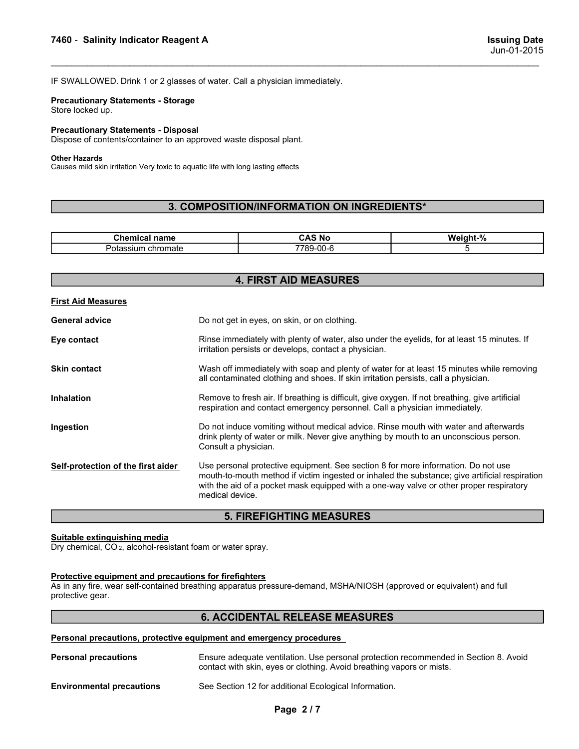T460 - Salinity Indicator Reagent A<br>
Issuing Date<br>IF SWALLOWED. Drink 1 or 2 glasses of water. Call a physician immediately.<br>
Precautionary Statements - Storage 1999 - Salinity Indicator Reagent A<br>
ISSuing Date<br>
Jun-01-2015<br>
IF SWALLOWED. Drink 1 or 2 glasses of water. Call a physician immediately.<br>
Precautionary Statements - Storage<br>
Store locked up.<br>
Precautionary Statements - D 7460 - Salinity Indicator Reagent A<br>
IF SWALLOWED. Drink 1 or 2 glasses of water. Call a physician immediately.<br>
Precautionary Statements - Storage<br>
Store locked up.<br>
Precautionary Statements - Disposal<br>
Dispose of content **7460 - Salinity Indicator Reagent A**<br>IF SWALLOWED. Drink 1 or 2 glasses of water. Call a physician immediately.<br>**Precautionary Statements - Storage**<br>**Store locked up.<br>Precautionary Statements - Disposal**<br>Dispose of conten 7460 - Salinity Indicator Reagent A<br>IF SWALLOWED. Drink 1 or 2 glasses of water. Call a physician immediately.<br>Precautionary Statements - Storage<br>Store locked up.<br>Precautionary Statements - Disposal<br>Dispose of contents/con **Salinity Indicator Reagent A**<br>
IF SWALLOWED. Drink 1 or 2 glasses of water. Call a physician immediately.<br>
IF SWALLOWED. Drink 1 or 2 glasses of water. Call a physician immediately.<br>
Precautionary Statements - Storage<br>
Si

## Other Hazards

# 3. COMPOSITION/INFORMATION ON INGREDIENTS\*

|                                                                                                                  | <b>Issuing Date</b><br>Jun-01-2015         |          |
|------------------------------------------------------------------------------------------------------------------|--------------------------------------------|----------|
| IF SWALLOWED. Drink 1 or 2 glasses of water. Call a physician immediately.                                       |                                            |          |
| <b>Precautionary Statements - Storage</b><br>Store locked up.                                                    |                                            |          |
| <b>Precautionary Statements - Disposal</b><br>Dispose of contents/container to an approved waste disposal plant. |                                            |          |
| <b>Other Hazards</b><br>Causes mild skin irritation Very toxic to aquatic life with long lasting effects         |                                            |          |
|                                                                                                                  | 3. COMPOSITION/INFORMATION ON INGREDIENTS* |          |
|                                                                                                                  |                                            |          |
|                                                                                                                  |                                            |          |
| <b>Chemical name</b>                                                                                             | <b>CAS No</b>                              | Weight-% |

| 7460 - Salinity Indicator Reagent A                                                                              |                                                                                                                                                                                                                                                                                                   | <b>Issuing Date</b><br>Jun-01-2015 |  |  |
|------------------------------------------------------------------------------------------------------------------|---------------------------------------------------------------------------------------------------------------------------------------------------------------------------------------------------------------------------------------------------------------------------------------------------|------------------------------------|--|--|
|                                                                                                                  |                                                                                                                                                                                                                                                                                                   |                                    |  |  |
| <b>Precautionary Statements - Storage</b>                                                                        | IF SWALLOWED. Drink 1 or 2 glasses of water. Call a physician immediately.                                                                                                                                                                                                                        |                                    |  |  |
| Store locked up.                                                                                                 |                                                                                                                                                                                                                                                                                                   |                                    |  |  |
| <b>Precautionary Statements - Disposal</b><br>Dispose of contents/container to an approved waste disposal plant. |                                                                                                                                                                                                                                                                                                   |                                    |  |  |
| <b>Other Hazards</b><br>Causes mild skin irritation Very toxic to aquatic life with long lasting effects         |                                                                                                                                                                                                                                                                                                   |                                    |  |  |
|                                                                                                                  |                                                                                                                                                                                                                                                                                                   |                                    |  |  |
|                                                                                                                  | 3. COMPOSITION/INFORMATION ON INGREDIENTS*                                                                                                                                                                                                                                                        |                                    |  |  |
| <b>Chemical name</b>                                                                                             | <b>CAS No</b>                                                                                                                                                                                                                                                                                     | Weight-%                           |  |  |
| Potassium chromate                                                                                               | 7789-00-6                                                                                                                                                                                                                                                                                         | 5                                  |  |  |
|                                                                                                                  | <b>4. FIRST AID MEASURES</b>                                                                                                                                                                                                                                                                      |                                    |  |  |
| <b>First Aid Measures</b>                                                                                        |                                                                                                                                                                                                                                                                                                   |                                    |  |  |
| <b>General advice</b>                                                                                            | Do not get in eyes, on skin, or on clothing.                                                                                                                                                                                                                                                      |                                    |  |  |
| Eye contact                                                                                                      | Rinse immediately with plenty of water, also under the eyelids, for at least 15 minutes. If<br>irritation persists or develops, contact a physician.                                                                                                                                              |                                    |  |  |
| <b>Skin contact</b>                                                                                              | Wash off immediately with soap and plenty of water for at least 15 minutes while removing<br>all contaminated clothing and shoes. If skin irritation persists, call a physician.                                                                                                                  |                                    |  |  |
| Inhalation                                                                                                       | Remove to fresh air. If breathing is difficult, give oxygen. If not breathing, give artificial<br>respiration and contact emergency personnel. Call a physician immediately.                                                                                                                      |                                    |  |  |
| Ingestion                                                                                                        | Do not induce vomiting without medical advice. Rinse mouth with water and afterwards<br>drink plenty of water or milk. Never give anything by mouth to an unconscious person.<br>Consult a physician.                                                                                             |                                    |  |  |
| Self-protection of the first aider                                                                               | Use personal protective equipment. See section 8 for more information. Do not use<br>mouth-to-mouth method if victim ingested or inhaled the substance; give artificial respiration<br>with the aid of a pocket mask equipped with a one-way valve or other proper respiratory<br>medical device. |                                    |  |  |
|                                                                                                                  | <b>5. FIREFIGHTING MEASURES</b>                                                                                                                                                                                                                                                                   |                                    |  |  |
| Suitable extinguishing media<br>Dry chemical, CO <sub>2</sub> , alcohol-resistant foam or water spray.           |                                                                                                                                                                                                                                                                                                   |                                    |  |  |
| Protective equipment and precautions for firefighters<br>protective gear.                                        | As in any fire, wear self-contained breathing apparatus pressure-demand, MSHA/NIOSH (approved or equivalent) and full                                                                                                                                                                             |                                    |  |  |
|                                                                                                                  | <b>6. ACCIDENTAL RELEASE MEASURES</b>                                                                                                                                                                                                                                                             |                                    |  |  |
|                                                                                                                  | Personal precautions, protective equipment and emergency procedures                                                                                                                                                                                                                               |                                    |  |  |
| <b>Personal precautions</b>                                                                                      | Ensure adequate ventilation. Use personal protection recommended in Section 8. Avoid<br>contact with skin, eyes or clothing. Avoid breathing vapors or mists.                                                                                                                                     |                                    |  |  |
| <b>Environmental precautions</b>                                                                                 | See Section 12 for additional Ecological Information.                                                                                                                                                                                                                                             |                                    |  |  |
|                                                                                                                  | Page 2/7                                                                                                                                                                                                                                                                                          |                                    |  |  |
|                                                                                                                  |                                                                                                                                                                                                                                                                                                   |                                    |  |  |
|                                                                                                                  |                                                                                                                                                                                                                                                                                                   |                                    |  |  |

# 5. FIREFIGHTING MEASURES

# 6. ACCIDENTAL RELEASE MEASURES

| <b>Personal precautions</b>      | Ensure adequate ventilation. Use personal protection recommended in Section 8. Avoid<br>contact with skin, eyes or clothing. Avoid breathing vapors or mists. |
|----------------------------------|---------------------------------------------------------------------------------------------------------------------------------------------------------------|
| <b>Environmental precautions</b> | See Section 12 for additional Ecological Information.                                                                                                         |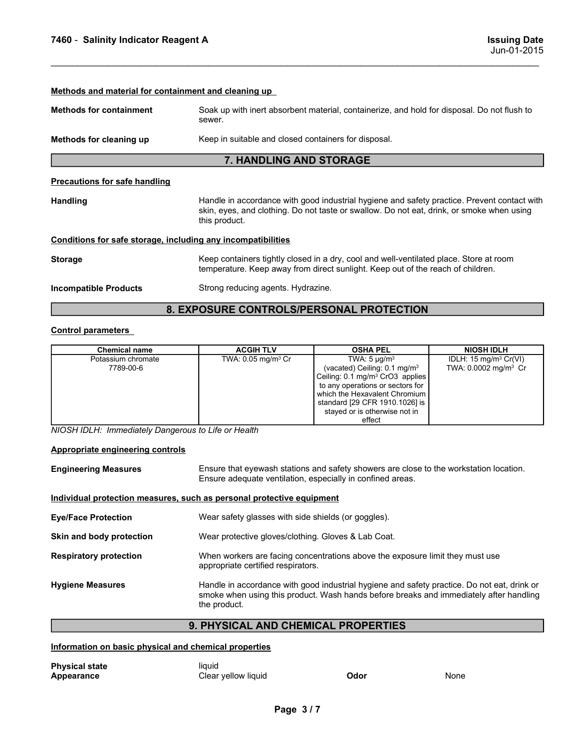| 7460 - Salinity Indicator Reagent A                                   |                                                                                                                                                                                                           |                                                                                                                                                                                                                                                                 | <b>Issuing Date</b><br>Jun-01-2015                                    |  |
|-----------------------------------------------------------------------|-----------------------------------------------------------------------------------------------------------------------------------------------------------------------------------------------------------|-----------------------------------------------------------------------------------------------------------------------------------------------------------------------------------------------------------------------------------------------------------------|-----------------------------------------------------------------------|--|
|                                                                       |                                                                                                                                                                                                           |                                                                                                                                                                                                                                                                 |                                                                       |  |
| Methods and material for containment and cleaning up                  |                                                                                                                                                                                                           |                                                                                                                                                                                                                                                                 |                                                                       |  |
| <b>Methods for containment</b>                                        | Soak up with inert absorbent material, containerize, and hold for disposal. Do not flush to<br>sewer.                                                                                                     |                                                                                                                                                                                                                                                                 |                                                                       |  |
| Methods for cleaning up                                               | Keep in suitable and closed containers for disposal.                                                                                                                                                      |                                                                                                                                                                                                                                                                 |                                                                       |  |
|                                                                       | 7. HANDLING AND STORAGE                                                                                                                                                                                   |                                                                                                                                                                                                                                                                 |                                                                       |  |
| <b>Precautions for safe handling</b>                                  |                                                                                                                                                                                                           |                                                                                                                                                                                                                                                                 |                                                                       |  |
| <b>Handling</b>                                                       | Handle in accordance with good industrial hygiene and safety practice. Prevent contact with<br>skin, eyes, and clothing. Do not taste or swallow. Do not eat, drink, or smoke when using<br>this product. |                                                                                                                                                                                                                                                                 |                                                                       |  |
| Conditions for safe storage, including any incompatibilities          |                                                                                                                                                                                                           |                                                                                                                                                                                                                                                                 |                                                                       |  |
| <b>Storage</b>                                                        |                                                                                                                                                                                                           | Keep containers tightly closed in a dry, cool and well-ventilated place. Store at room<br>temperature. Keep away from direct sunlight. Keep out of the reach of children.                                                                                       |                                                                       |  |
| <b>Incompatible Products</b>                                          | Strong reducing agents. Hydrazine.                                                                                                                                                                        |                                                                                                                                                                                                                                                                 |                                                                       |  |
|                                                                       | 8. EXPOSURE CONTROLS/PERSONAL PROTECTION                                                                                                                                                                  |                                                                                                                                                                                                                                                                 |                                                                       |  |
| <b>Control parameters</b>                                             |                                                                                                                                                                                                           |                                                                                                                                                                                                                                                                 |                                                                       |  |
| <b>Chemical name</b>                                                  | <b>ACGIH TLV</b>                                                                                                                                                                                          | <b>OSHA PEL</b>                                                                                                                                                                                                                                                 | <b>NIOSH IDLH</b>                                                     |  |
| Potassium chromate<br>7789-00-6                                       | TWA: 0.05 mg/m <sup>3</sup> Cr                                                                                                                                                                            | TWA: $5 \mu g/m^3$<br>(vacated) Ceiling: 0.1 mg/m <sup>3</sup><br>Ceiling: 0.1 mg/m <sup>3</sup> CrO3 applies<br>to any operations or sectors for<br>which the Hexavalent Chromium<br>standard [29 CFR 1910.1026] is<br>stayed or is otherwise not in<br>effect | IDLH: 15 mg/m <sup>3</sup> Cr(VI)<br>TWA: 0.0002 mg/m <sup>3</sup> Cr |  |
| NIOSH IDLH: Immediately Dangerous to Life or Health                   |                                                                                                                                                                                                           |                                                                                                                                                                                                                                                                 |                                                                       |  |
| <b>Appropriate engineering controls</b>                               |                                                                                                                                                                                                           |                                                                                                                                                                                                                                                                 |                                                                       |  |
| <b>Engineering Measures</b>                                           | Ensure adequate ventilation, especially in confined areas.                                                                                                                                                | Ensure that eyewash stations and safety showers are close to the workstation location.                                                                                                                                                                          |                                                                       |  |
| Individual protection measures, such as personal protective equipment |                                                                                                                                                                                                           |                                                                                                                                                                                                                                                                 |                                                                       |  |
| <b>Eye/Face Protection</b>                                            | Wear safety glasses with side shields (or goggles).                                                                                                                                                       |                                                                                                                                                                                                                                                                 |                                                                       |  |

| Conditions for safe storage, including any incompatibilities          |                                                     |                                                                                                                                                                                                                                                                 |                                                                       |  |  |  |  |  |
|-----------------------------------------------------------------------|-----------------------------------------------------|-----------------------------------------------------------------------------------------------------------------------------------------------------------------------------------------------------------------------------------------------------------------|-----------------------------------------------------------------------|--|--|--|--|--|
| <b>Storage</b>                                                        |                                                     | Keep containers tightly closed in a dry, cool and well-ventilated place. Store at room<br>temperature. Keep away from direct sunlight. Keep out of the reach of children.                                                                                       |                                                                       |  |  |  |  |  |
| <b>Incompatible Products</b>                                          |                                                     | Strong reducing agents. Hydrazine.                                                                                                                                                                                                                              |                                                                       |  |  |  |  |  |
|                                                                       | 8. EXPOSURE CONTROLS/PERSONAL PROTECTION            |                                                                                                                                                                                                                                                                 |                                                                       |  |  |  |  |  |
| <b>Control parameters</b>                                             |                                                     |                                                                                                                                                                                                                                                                 |                                                                       |  |  |  |  |  |
| <b>Chemical name</b>                                                  | <b>ACGIH TLV</b>                                    | <b>OSHA PEL</b>                                                                                                                                                                                                                                                 | <b>NIOSH IDLH</b>                                                     |  |  |  |  |  |
| Potassium chromate<br>7789-00-6                                       | TWA: 0.05 mg/m <sup>3</sup> Cr                      | TWA: $5 \mu q/m^3$<br>(vacated) Ceiling: 0.1 mg/m <sup>3</sup><br>Ceiling: 0.1 mg/m <sup>3</sup> CrO3 applies<br>to any operations or sectors for<br>which the Hexavalent Chromium<br>standard [29 CFR 1910.1026] is<br>stayed or is otherwise not in<br>effect | IDLH: 15 mg/m <sup>3</sup> Cr(VI)<br>TWA: 0.0002 mg/m <sup>3</sup> Cr |  |  |  |  |  |
| NIOSH IDLH: Immediately Dangerous to Life or Health                   |                                                     |                                                                                                                                                                                                                                                                 |                                                                       |  |  |  |  |  |
| Appropriate engineering controls                                      |                                                     |                                                                                                                                                                                                                                                                 |                                                                       |  |  |  |  |  |
| <b>Engineering Measures</b>                                           |                                                     | Ensure that eyewash stations and safety showers are close to the workstation location.<br>Ensure adequate ventilation, especially in confined areas.                                                                                                            |                                                                       |  |  |  |  |  |
| Individual protection measures, such as personal protective equipment |                                                     |                                                                                                                                                                                                                                                                 |                                                                       |  |  |  |  |  |
| <b>Eye/Face Protection</b>                                            | Wear safety glasses with side shields (or goggles). |                                                                                                                                                                                                                                                                 |                                                                       |  |  |  |  |  |
| <b>Skin and body protection</b>                                       |                                                     | Wear protective gloves/clothing. Gloves & Lab Coat.                                                                                                                                                                                                             |                                                                       |  |  |  |  |  |

| <b>Storage</b>                                        |                                                                                                                                                                                                       | Keep containers tightly closed in a dry, cool and well-ventilated place. Store at room<br>temperature. Keep away from direct sunlight. Keep out of the reach of children.                                                                                       |                                                                       |  |  |  |
|-------------------------------------------------------|-------------------------------------------------------------------------------------------------------------------------------------------------------------------------------------------------------|-----------------------------------------------------------------------------------------------------------------------------------------------------------------------------------------------------------------------------------------------------------------|-----------------------------------------------------------------------|--|--|--|
| <b>Incompatible Products</b>                          |                                                                                                                                                                                                       | Strong reducing agents. Hydrazine.                                                                                                                                                                                                                              |                                                                       |  |  |  |
| 8. EXPOSURE CONTROLS/PERSONAL PROTECTION              |                                                                                                                                                                                                       |                                                                                                                                                                                                                                                                 |                                                                       |  |  |  |
| <b>Control parameters</b>                             |                                                                                                                                                                                                       |                                                                                                                                                                                                                                                                 |                                                                       |  |  |  |
| <b>Chemical name</b>                                  | <b>ACGIH TLV</b>                                                                                                                                                                                      | <b>OSHA PEL</b>                                                                                                                                                                                                                                                 | <b>NIOSH IDLH</b>                                                     |  |  |  |
| Potassium chromate<br>7789-00-6                       | TWA: 0.05 mg/m <sup>3</sup> Cr                                                                                                                                                                        | TWA: $5 \mu g/m^3$<br>(vacated) Ceiling: 0.1 mg/m <sup>3</sup><br>Ceiling: 0.1 mg/m <sup>3</sup> CrO3 applies<br>to any operations or sectors for<br>which the Hexavalent Chromium<br>standard [29 CFR 1910.1026] is<br>stayed or is otherwise not in<br>effect | IDLH: 15 mg/m <sup>3</sup> Cr(VI)<br>TWA: 0.0002 mg/m <sup>3</sup> Cr |  |  |  |
| NIOSH IDLH: Immediately Dangerous to Life or Health   |                                                                                                                                                                                                       |                                                                                                                                                                                                                                                                 |                                                                       |  |  |  |
| Appropriate engineering controls                      |                                                                                                                                                                                                       |                                                                                                                                                                                                                                                                 |                                                                       |  |  |  |
| <b>Engineering Measures</b>                           |                                                                                                                                                                                                       | Ensure that eyewash stations and safety showers are close to the workstation location.<br>Ensure adequate ventilation, especially in confined areas.                                                                                                            |                                                                       |  |  |  |
|                                                       | Individual protection measures, such as personal protective equipment                                                                                                                                 |                                                                                                                                                                                                                                                                 |                                                                       |  |  |  |
| <b>Eye/Face Protection</b>                            | Wear safety glasses with side shields (or goggles).                                                                                                                                                   |                                                                                                                                                                                                                                                                 |                                                                       |  |  |  |
| Skin and body protection                              | Wear protective gloves/clothing. Gloves & Lab Coat.                                                                                                                                                   |                                                                                                                                                                                                                                                                 |                                                                       |  |  |  |
| <b>Respiratory protection</b>                         |                                                                                                                                                                                                       | When workers are facing concentrations above the exposure limit they must use<br>appropriate certified respirators.                                                                                                                                             |                                                                       |  |  |  |
| <b>Hygiene Measures</b>                               | Handle in accordance with good industrial hygiene and safety practice. Do not eat, drink or<br>smoke when using this product. Wash hands before breaks and immediately after handling<br>the product. |                                                                                                                                                                                                                                                                 |                                                                       |  |  |  |
|                                                       | 9. PHYSICAL AND CHEMICAL PROPERTIES                                                                                                                                                                   |                                                                                                                                                                                                                                                                 |                                                                       |  |  |  |
| Information on basic physical and chemical properties |                                                                                                                                                                                                       |                                                                                                                                                                                                                                                                 |                                                                       |  |  |  |
| <b>Physical state</b>                                 | liquid                                                                                                                                                                                                |                                                                                                                                                                                                                                                                 |                                                                       |  |  |  |
| <b>Appearance</b>                                     | Clear yellow liquid                                                                                                                                                                                   | Odor                                                                                                                                                                                                                                                            | None                                                                  |  |  |  |
|                                                       | Page 3/7                                                                                                                                                                                              |                                                                                                                                                                                                                                                                 |                                                                       |  |  |  |
|                                                       |                                                                                                                                                                                                       |                                                                                                                                                                                                                                                                 |                                                                       |  |  |  |
|                                                       |                                                                                                                                                                                                       |                                                                                                                                                                                                                                                                 |                                                                       |  |  |  |
|                                                       |                                                                                                                                                                                                       |                                                                                                                                                                                                                                                                 |                                                                       |  |  |  |

# 9. PHYSICAL AND CHEMICAL PROPERTIES

| <b>Physical state</b> | liauid              |      |      |
|-----------------------|---------------------|------|------|
| Appearance            | Clear yellow liquid | Odor | None |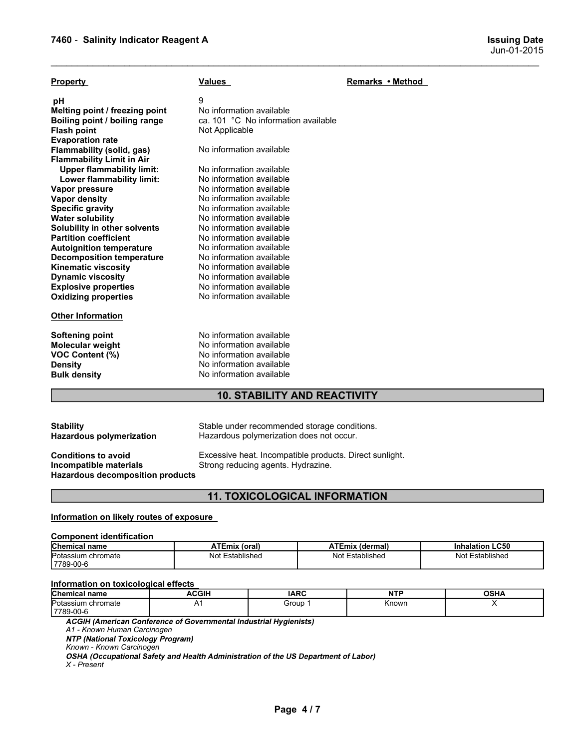| 7460 - Salinity Indicator Reagent A<br><b>Issuing Date</b><br>Jun-01-2015<br><b>Property</b><br><b>Values</b><br>Remarks • Method<br>9<br>рH<br>No information available<br>Melting point / freezing point<br>ca. 101 °C No information available<br>Boiling point / boiling range<br>Not Applicable<br><b>Flash point</b><br><b>Evaporation rate</b><br>No information available<br>Flammability (solid, gas)<br><b>Flammability Limit in Air</b><br><b>Upper flammability limit:</b><br>No information available<br>No information available<br>Lower flammability limit:<br>No information available<br>Vapor pressure<br>No information available<br><b>Vapor density</b><br>No information available<br><b>Specific gravity</b><br>No information available<br><b>Water solubility</b><br>Solubility in other solvents<br>No information available<br><b>Partition coefficient</b><br>No information available<br>No information available<br><b>Autoignition temperature</b><br>No information available<br><b>Decomposition temperature</b><br><b>Kinematic viscosity</b><br>No information available<br><b>Dynamic viscosity</b><br>No information available<br>No information available<br><b>Explosive properties</b><br>No information available<br><b>Oxidizing properties</b><br><b>Other Information</b><br><b>Softening point</b><br>No information available<br>No information available<br>Molecular weight<br>VOC Content (%)<br>No information available<br>No information available<br><b>Density</b><br>No information available<br><b>Bulk density</b><br><b>10. STABILITY AND REACTIVITY</b><br>Stable under recommended storage conditions.<br><b>Stability</b><br>Hazardous polymerization does not occur.<br>Hazardous polymerization<br>Excessive heat. Incompatible products. Direct sunlight.<br><b>Conditions to avoid</b><br>Incompatible materials<br>Strong reducing agents. Hydrazine.<br><b>Hazardous decomposition products</b><br><b>11. TOXICOLOGICAL INFORMATION</b><br>Information on likely routes of exposure<br><b>Component identification</b> |
|--------------------------------------------------------------------------------------------------------------------------------------------------------------------------------------------------------------------------------------------------------------------------------------------------------------------------------------------------------------------------------------------------------------------------------------------------------------------------------------------------------------------------------------------------------------------------------------------------------------------------------------------------------------------------------------------------------------------------------------------------------------------------------------------------------------------------------------------------------------------------------------------------------------------------------------------------------------------------------------------------------------------------------------------------------------------------------------------------------------------------------------------------------------------------------------------------------------------------------------------------------------------------------------------------------------------------------------------------------------------------------------------------------------------------------------------------------------------------------------------------------------------------------------------------------------------------------------------------------------------------------------------------------------------------------------------------------------------------------------------------------------------------------------------------------------------------------------------------------------------------------------------------------------------------------------------------------------------------------------------------------------------------------------------------------------------------------------------|
|                                                                                                                                                                                                                                                                                                                                                                                                                                                                                                                                                                                                                                                                                                                                                                                                                                                                                                                                                                                                                                                                                                                                                                                                                                                                                                                                                                                                                                                                                                                                                                                                                                                                                                                                                                                                                                                                                                                                                                                                                                                                                            |
|                                                                                                                                                                                                                                                                                                                                                                                                                                                                                                                                                                                                                                                                                                                                                                                                                                                                                                                                                                                                                                                                                                                                                                                                                                                                                                                                                                                                                                                                                                                                                                                                                                                                                                                                                                                                                                                                                                                                                                                                                                                                                            |
|                                                                                                                                                                                                                                                                                                                                                                                                                                                                                                                                                                                                                                                                                                                                                                                                                                                                                                                                                                                                                                                                                                                                                                                                                                                                                                                                                                                                                                                                                                                                                                                                                                                                                                                                                                                                                                                                                                                                                                                                                                                                                            |
|                                                                                                                                                                                                                                                                                                                                                                                                                                                                                                                                                                                                                                                                                                                                                                                                                                                                                                                                                                                                                                                                                                                                                                                                                                                                                                                                                                                                                                                                                                                                                                                                                                                                                                                                                                                                                                                                                                                                                                                                                                                                                            |
|                                                                                                                                                                                                                                                                                                                                                                                                                                                                                                                                                                                                                                                                                                                                                                                                                                                                                                                                                                                                                                                                                                                                                                                                                                                                                                                                                                                                                                                                                                                                                                                                                                                                                                                                                                                                                                                                                                                                                                                                                                                                                            |
|                                                                                                                                                                                                                                                                                                                                                                                                                                                                                                                                                                                                                                                                                                                                                                                                                                                                                                                                                                                                                                                                                                                                                                                                                                                                                                                                                                                                                                                                                                                                                                                                                                                                                                                                                                                                                                                                                                                                                                                                                                                                                            |
|                                                                                                                                                                                                                                                                                                                                                                                                                                                                                                                                                                                                                                                                                                                                                                                                                                                                                                                                                                                                                                                                                                                                                                                                                                                                                                                                                                                                                                                                                                                                                                                                                                                                                                                                                                                                                                                                                                                                                                                                                                                                                            |
|                                                                                                                                                                                                                                                                                                                                                                                                                                                                                                                                                                                                                                                                                                                                                                                                                                                                                                                                                                                                                                                                                                                                                                                                                                                                                                                                                                                                                                                                                                                                                                                                                                                                                                                                                                                                                                                                                                                                                                                                                                                                                            |
|                                                                                                                                                                                                                                                                                                                                                                                                                                                                                                                                                                                                                                                                                                                                                                                                                                                                                                                                                                                                                                                                                                                                                                                                                                                                                                                                                                                                                                                                                                                                                                                                                                                                                                                                                                                                                                                                                                                                                                                                                                                                                            |
|                                                                                                                                                                                                                                                                                                                                                                                                                                                                                                                                                                                                                                                                                                                                                                                                                                                                                                                                                                                                                                                                                                                                                                                                                                                                                                                                                                                                                                                                                                                                                                                                                                                                                                                                                                                                                                                                                                                                                                                                                                                                                            |
|                                                                                                                                                                                                                                                                                                                                                                                                                                                                                                                                                                                                                                                                                                                                                                                                                                                                                                                                                                                                                                                                                                                                                                                                                                                                                                                                                                                                                                                                                                                                                                                                                                                                                                                                                                                                                                                                                                                                                                                                                                                                                            |
|                                                                                                                                                                                                                                                                                                                                                                                                                                                                                                                                                                                                                                                                                                                                                                                                                                                                                                                                                                                                                                                                                                                                                                                                                                                                                                                                                                                                                                                                                                                                                                                                                                                                                                                                                                                                                                                                                                                                                                                                                                                                                            |
|                                                                                                                                                                                                                                                                                                                                                                                                                                                                                                                                                                                                                                                                                                                                                                                                                                                                                                                                                                                                                                                                                                                                                                                                                                                                                                                                                                                                                                                                                                                                                                                                                                                                                                                                                                                                                                                                                                                                                                                                                                                                                            |
|                                                                                                                                                                                                                                                                                                                                                                                                                                                                                                                                                                                                                                                                                                                                                                                                                                                                                                                                                                                                                                                                                                                                                                                                                                                                                                                                                                                                                                                                                                                                                                                                                                                                                                                                                                                                                                                                                                                                                                                                                                                                                            |
|                                                                                                                                                                                                                                                                                                                                                                                                                                                                                                                                                                                                                                                                                                                                                                                                                                                                                                                                                                                                                                                                                                                                                                                                                                                                                                                                                                                                                                                                                                                                                                                                                                                                                                                                                                                                                                                                                                                                                                                                                                                                                            |
|                                                                                                                                                                                                                                                                                                                                                                                                                                                                                                                                                                                                                                                                                                                                                                                                                                                                                                                                                                                                                                                                                                                                                                                                                                                                                                                                                                                                                                                                                                                                                                                                                                                                                                                                                                                                                                                                                                                                                                                                                                                                                            |
|                                                                                                                                                                                                                                                                                                                                                                                                                                                                                                                                                                                                                                                                                                                                                                                                                                                                                                                                                                                                                                                                                                                                                                                                                                                                                                                                                                                                                                                                                                                                                                                                                                                                                                                                                                                                                                                                                                                                                                                                                                                                                            |
|                                                                                                                                                                                                                                                                                                                                                                                                                                                                                                                                                                                                                                                                                                                                                                                                                                                                                                                                                                                                                                                                                                                                                                                                                                                                                                                                                                                                                                                                                                                                                                                                                                                                                                                                                                                                                                                                                                                                                                                                                                                                                            |
|                                                                                                                                                                                                                                                                                                                                                                                                                                                                                                                                                                                                                                                                                                                                                                                                                                                                                                                                                                                                                                                                                                                                                                                                                                                                                                                                                                                                                                                                                                                                                                                                                                                                                                                                                                                                                                                                                                                                                                                                                                                                                            |
|                                                                                                                                                                                                                                                                                                                                                                                                                                                                                                                                                                                                                                                                                                                                                                                                                                                                                                                                                                                                                                                                                                                                                                                                                                                                                                                                                                                                                                                                                                                                                                                                                                                                                                                                                                                                                                                                                                                                                                                                                                                                                            |
|                                                                                                                                                                                                                                                                                                                                                                                                                                                                                                                                                                                                                                                                                                                                                                                                                                                                                                                                                                                                                                                                                                                                                                                                                                                                                                                                                                                                                                                                                                                                                                                                                                                                                                                                                                                                                                                                                                                                                                                                                                                                                            |
|                                                                                                                                                                                                                                                                                                                                                                                                                                                                                                                                                                                                                                                                                                                                                                                                                                                                                                                                                                                                                                                                                                                                                                                                                                                                                                                                                                                                                                                                                                                                                                                                                                                                                                                                                                                                                                                                                                                                                                                                                                                                                            |
|                                                                                                                                                                                                                                                                                                                                                                                                                                                                                                                                                                                                                                                                                                                                                                                                                                                                                                                                                                                                                                                                                                                                                                                                                                                                                                                                                                                                                                                                                                                                                                                                                                                                                                                                                                                                                                                                                                                                                                                                                                                                                            |
|                                                                                                                                                                                                                                                                                                                                                                                                                                                                                                                                                                                                                                                                                                                                                                                                                                                                                                                                                                                                                                                                                                                                                                                                                                                                                                                                                                                                                                                                                                                                                                                                                                                                                                                                                                                                                                                                                                                                                                                                                                                                                            |
|                                                                                                                                                                                                                                                                                                                                                                                                                                                                                                                                                                                                                                                                                                                                                                                                                                                                                                                                                                                                                                                                                                                                                                                                                                                                                                                                                                                                                                                                                                                                                                                                                                                                                                                                                                                                                                                                                                                                                                                                                                                                                            |
|                                                                                                                                                                                                                                                                                                                                                                                                                                                                                                                                                                                                                                                                                                                                                                                                                                                                                                                                                                                                                                                                                                                                                                                                                                                                                                                                                                                                                                                                                                                                                                                                                                                                                                                                                                                                                                                                                                                                                                                                                                                                                            |
|                                                                                                                                                                                                                                                                                                                                                                                                                                                                                                                                                                                                                                                                                                                                                                                                                                                                                                                                                                                                                                                                                                                                                                                                                                                                                                                                                                                                                                                                                                                                                                                                                                                                                                                                                                                                                                                                                                                                                                                                                                                                                            |
|                                                                                                                                                                                                                                                                                                                                                                                                                                                                                                                                                                                                                                                                                                                                                                                                                                                                                                                                                                                                                                                                                                                                                                                                                                                                                                                                                                                                                                                                                                                                                                                                                                                                                                                                                                                                                                                                                                                                                                                                                                                                                            |
|                                                                                                                                                                                                                                                                                                                                                                                                                                                                                                                                                                                                                                                                                                                                                                                                                                                                                                                                                                                                                                                                                                                                                                                                                                                                                                                                                                                                                                                                                                                                                                                                                                                                                                                                                                                                                                                                                                                                                                                                                                                                                            |
|                                                                                                                                                                                                                                                                                                                                                                                                                                                                                                                                                                                                                                                                                                                                                                                                                                                                                                                                                                                                                                                                                                                                                                                                                                                                                                                                                                                                                                                                                                                                                                                                                                                                                                                                                                                                                                                                                                                                                                                                                                                                                            |
|                                                                                                                                                                                                                                                                                                                                                                                                                                                                                                                                                                                                                                                                                                                                                                                                                                                                                                                                                                                                                                                                                                                                                                                                                                                                                                                                                                                                                                                                                                                                                                                                                                                                                                                                                                                                                                                                                                                                                                                                                                                                                            |
|                                                                                                                                                                                                                                                                                                                                                                                                                                                                                                                                                                                                                                                                                                                                                                                                                                                                                                                                                                                                                                                                                                                                                                                                                                                                                                                                                                                                                                                                                                                                                                                                                                                                                                                                                                                                                                                                                                                                                                                                                                                                                            |
|                                                                                                                                                                                                                                                                                                                                                                                                                                                                                                                                                                                                                                                                                                                                                                                                                                                                                                                                                                                                                                                                                                                                                                                                                                                                                                                                                                                                                                                                                                                                                                                                                                                                                                                                                                                                                                                                                                                                                                                                                                                                                            |
|                                                                                                                                                                                                                                                                                                                                                                                                                                                                                                                                                                                                                                                                                                                                                                                                                                                                                                                                                                                                                                                                                                                                                                                                                                                                                                                                                                                                                                                                                                                                                                                                                                                                                                                                                                                                                                                                                                                                                                                                                                                                                            |
|                                                                                                                                                                                                                                                                                                                                                                                                                                                                                                                                                                                                                                                                                                                                                                                                                                                                                                                                                                                                                                                                                                                                                                                                                                                                                                                                                                                                                                                                                                                                                                                                                                                                                                                                                                                                                                                                                                                                                                                                                                                                                            |
|                                                                                                                                                                                                                                                                                                                                                                                                                                                                                                                                                                                                                                                                                                                                                                                                                                                                                                                                                                                                                                                                                                                                                                                                                                                                                                                                                                                                                                                                                                                                                                                                                                                                                                                                                                                                                                                                                                                                                                                                                                                                                            |
|                                                                                                                                                                                                                                                                                                                                                                                                                                                                                                                                                                                                                                                                                                                                                                                                                                                                                                                                                                                                                                                                                                                                                                                                                                                                                                                                                                                                                                                                                                                                                                                                                                                                                                                                                                                                                                                                                                                                                                                                                                                                                            |
|                                                                                                                                                                                                                                                                                                                                                                                                                                                                                                                                                                                                                                                                                                                                                                                                                                                                                                                                                                                                                                                                                                                                                                                                                                                                                                                                                                                                                                                                                                                                                                                                                                                                                                                                                                                                                                                                                                                                                                                                                                                                                            |
|                                                                                                                                                                                                                                                                                                                                                                                                                                                                                                                                                                                                                                                                                                                                                                                                                                                                                                                                                                                                                                                                                                                                                                                                                                                                                                                                                                                                                                                                                                                                                                                                                                                                                                                                                                                                                                                                                                                                                                                                                                                                                            |
|                                                                                                                                                                                                                                                                                                                                                                                                                                                                                                                                                                                                                                                                                                                                                                                                                                                                                                                                                                                                                                                                                                                                                                                                                                                                                                                                                                                                                                                                                                                                                                                                                                                                                                                                                                                                                                                                                                                                                                                                                                                                                            |
|                                                                                                                                                                                                                                                                                                                                                                                                                                                                                                                                                                                                                                                                                                                                                                                                                                                                                                                                                                                                                                                                                                                                                                                                                                                                                                                                                                                                                                                                                                                                                                                                                                                                                                                                                                                                                                                                                                                                                                                                                                                                                            |
|                                                                                                                                                                                                                                                                                                                                                                                                                                                                                                                                                                                                                                                                                                                                                                                                                                                                                                                                                                                                                                                                                                                                                                                                                                                                                                                                                                                                                                                                                                                                                                                                                                                                                                                                                                                                                                                                                                                                                                                                                                                                                            |
|                                                                                                                                                                                                                                                                                                                                                                                                                                                                                                                                                                                                                                                                                                                                                                                                                                                                                                                                                                                                                                                                                                                                                                                                                                                                                                                                                                                                                                                                                                                                                                                                                                                                                                                                                                                                                                                                                                                                                                                                                                                                                            |
|                                                                                                                                                                                                                                                                                                                                                                                                                                                                                                                                                                                                                                                                                                                                                                                                                                                                                                                                                                                                                                                                                                                                                                                                                                                                                                                                                                                                                                                                                                                                                                                                                                                                                                                                                                                                                                                                                                                                                                                                                                                                                            |
| Chemical name<br><b>Inhalation LC50</b>                                                                                                                                                                                                                                                                                                                                                                                                                                                                                                                                                                                                                                                                                                                                                                                                                                                                                                                                                                                                                                                                                                                                                                                                                                                                                                                                                                                                                                                                                                                                                                                                                                                                                                                                                                                                                                                                                                                                                                                                                                                    |
| <b>ATEmix (oral)</b><br><b>ATEmix (dermal)</b><br>Potassium chromate<br>Not Established<br>Not Established<br>Not Established                                                                                                                                                                                                                                                                                                                                                                                                                                                                                                                                                                                                                                                                                                                                                                                                                                                                                                                                                                                                                                                                                                                                                                                                                                                                                                                                                                                                                                                                                                                                                                                                                                                                                                                                                                                                                                                                                                                                                              |
| 7789-00-6                                                                                                                                                                                                                                                                                                                                                                                                                                                                                                                                                                                                                                                                                                                                                                                                                                                                                                                                                                                                                                                                                                                                                                                                                                                                                                                                                                                                                                                                                                                                                                                                                                                                                                                                                                                                                                                                                                                                                                                                                                                                                  |
| Information on toxicological effects                                                                                                                                                                                                                                                                                                                                                                                                                                                                                                                                                                                                                                                                                                                                                                                                                                                                                                                                                                                                                                                                                                                                                                                                                                                                                                                                                                                                                                                                                                                                                                                                                                                                                                                                                                                                                                                                                                                                                                                                                                                       |
| Chemical name<br><b>ACGIH</b><br><b>IARC</b><br><b>NTP</b><br><b>OSHA</b><br>Potassium chromate<br>Χ<br>A1<br>Group 1<br>Known                                                                                                                                                                                                                                                                                                                                                                                                                                                                                                                                                                                                                                                                                                                                                                                                                                                                                                                                                                                                                                                                                                                                                                                                                                                                                                                                                                                                                                                                                                                                                                                                                                                                                                                                                                                                                                                                                                                                                             |
| 7789-00-6                                                                                                                                                                                                                                                                                                                                                                                                                                                                                                                                                                                                                                                                                                                                                                                                                                                                                                                                                                                                                                                                                                                                                                                                                                                                                                                                                                                                                                                                                                                                                                                                                                                                                                                                                                                                                                                                                                                                                                                                                                                                                  |
| ACGIH (American Conference of Governmental Industrial Hygienists)<br>A1 - Known Human Carcinogen                                                                                                                                                                                                                                                                                                                                                                                                                                                                                                                                                                                                                                                                                                                                                                                                                                                                                                                                                                                                                                                                                                                                                                                                                                                                                                                                                                                                                                                                                                                                                                                                                                                                                                                                                                                                                                                                                                                                                                                           |
| <b>NTP (National Toxicology Program)</b><br>Known - Known Carcinogen                                                                                                                                                                                                                                                                                                                                                                                                                                                                                                                                                                                                                                                                                                                                                                                                                                                                                                                                                                                                                                                                                                                                                                                                                                                                                                                                                                                                                                                                                                                                                                                                                                                                                                                                                                                                                                                                                                                                                                                                                       |

# 10. STABILITY AND REACTIVITY

| <b>Stability</b> |                                 |
|------------------|---------------------------------|
|                  | <b>Hazardous polymerization</b> |

# 11. TOXICOLOGICAL INFORMATION

|                                                                                                                      |                                                                                    | <b>11. TOXICOLOGICAL INFORMATION</b>                  |                 |                        |
|----------------------------------------------------------------------------------------------------------------------|------------------------------------------------------------------------------------|-------------------------------------------------------|-----------------|------------------------|
| Information on likely routes of exposure                                                                             |                                                                                    |                                                       |                 |                        |
| <b>Component identification</b>                                                                                      |                                                                                    |                                                       |                 |                        |
| <b>Chemical name</b>                                                                                                 | ATEmix (oral)                                                                      |                                                       | ATEmix (dermal) | <b>Inhalation LC50</b> |
| Potassium chromate<br>7789-00-6                                                                                      |                                                                                    | Not Established<br>Not Established<br>Not Established |                 |                        |
| Information on toxicological effects                                                                                 |                                                                                    |                                                       |                 |                        |
| <b>Chemical name</b>                                                                                                 | <b>ACGIH</b>                                                                       | <b>IARC</b>                                           | <b>NTP</b>      | <b>OSHA</b>            |
| Potassium chromate<br>7789-00-6                                                                                      | A <sub>1</sub>                                                                     | Group 1                                               | Known           | X                      |
| A1 - Known Human Carcinogen<br><b>NTP (National Toxicology Program)</b><br>Known - Known Carcinogen<br>$X$ - Present | OSHA (Occupational Safety and Health Administration of the US Department of Labor) |                                                       |                 |                        |
|                                                                                                                      |                                                                                    |                                                       |                 |                        |

| <b>Chemical name</b>    | ACGIH | <b>IARC</b> | <b>NTP</b> | <b>OSHA</b> |
|-------------------------|-------|-------------|------------|-------------|
| Potassium<br>າ chromate | . .   | Group       | Known      |             |
| 7789-00-6               |       |             |            |             |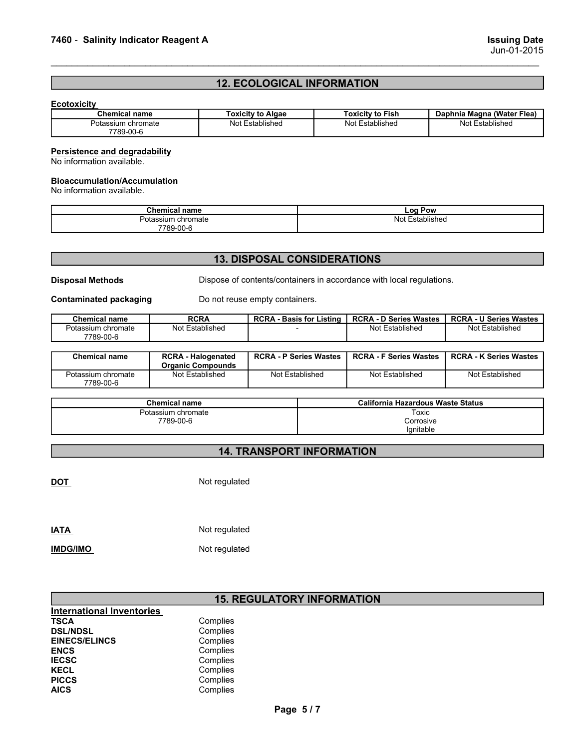# <sup>7460</sup> - Salinity Indicator Reagent A Issuing Date 12. ECOLOGICAL INFORMATION

# **Ecotoxicity**

| 7460 - Salinity Indicator Reagent A  |                      |                                |                                    |                                                                      | <b>Issuing Date</b>                              |
|--------------------------------------|----------------------|--------------------------------|------------------------------------|----------------------------------------------------------------------|--------------------------------------------------|
|                                      |                      |                                |                                    |                                                                      | Jun-01-2015                                      |
|                                      |                      |                                |                                    |                                                                      |                                                  |
|                                      |                      |                                | <b>12. ECOLOGICAL INFORMATION</b>  |                                                                      |                                                  |
| <b>Ecotoxicity</b>                   |                      |                                |                                    |                                                                      |                                                  |
| <b>Chemical name</b>                 |                      | <b>Toxicity to Algae</b>       |                                    | <b>Toxicity to Fish</b>                                              | Daphnia Magna (Water Flea)                       |
| Potassium chromate<br>7789-00-6      |                      | Not Established                |                                    | Not Established                                                      | Not Established                                  |
| <b>Persistence and degradability</b> |                      |                                |                                    |                                                                      |                                                  |
| No information available.            |                      |                                |                                    |                                                                      |                                                  |
| <b>Bioaccumulation/Accumulation</b>  |                      |                                |                                    |                                                                      |                                                  |
| No information available.            |                      |                                |                                    |                                                                      |                                                  |
|                                      | <b>Chemical name</b> |                                |                                    | Log Pow                                                              |                                                  |
|                                      | Potassium chromate   |                                |                                    | Not Established                                                      |                                                  |
|                                      |                      |                                |                                    |                                                                      |                                                  |
|                                      | 7789-00-6            |                                |                                    |                                                                      |                                                  |
|                                      |                      |                                |                                    |                                                                      |                                                  |
|                                      |                      |                                | <b>13. DISPOSAL CONSIDERATIONS</b> |                                                                      |                                                  |
| <b>Disposal Methods</b>              |                      |                                |                                    | Dispose of contents/containers in accordance with local regulations. |                                                  |
| <b>Contaminated packaging</b>        |                      | Do not reuse empty containers. |                                    |                                                                      |                                                  |
| <b>Chemical name</b>                 | <b>RCRA</b>          |                                | <b>RCRA - Basis for Listing</b>    | <b>RCRA - D Series Wastes</b>                                        | <b>RCRA - U Series Wastes</b><br>Not Established |

# **Bioaccumulation/Accumulation**<br>No information available.

| --<br>г.<br>⊖nemical name | ∟oa ′<br>Pow               |  |
|---------------------------|----------------------------|--|
| ∟chromate                 | . In.<br>stablished<br>ง⊍เ |  |
| 7789-00-6                 |                            |  |

# 13. DISPOSAL CONSIDERATIONS

|                                                                  |                                                       |                                    |                                 |                                                                      | $0$ ull-01-4010               |
|------------------------------------------------------------------|-------------------------------------------------------|------------------------------------|---------------------------------|----------------------------------------------------------------------|-------------------------------|
|                                                                  |                                                       | <b>12. ECOLOGICAL INFORMATION</b>  |                                 |                                                                      |                               |
| <b>Ecotoxicity</b>                                               |                                                       |                                    |                                 |                                                                      |                               |
| <b>Chemical name</b>                                             |                                                       | <b>Toxicity to Algae</b>           |                                 | <b>Toxicity to Fish</b>                                              | Daphnia Magna (Water Flea)    |
| Potassium chromate<br>7789-00-6                                  |                                                       | Not Established                    |                                 | Not Established                                                      | Not Established               |
| <b>Persistence and degradability</b>                             |                                                       |                                    |                                 |                                                                      |                               |
| No information available.                                        |                                                       |                                    |                                 |                                                                      |                               |
| <b>Bioaccumulation/Accumulation</b><br>No information available. |                                                       |                                    |                                 |                                                                      |                               |
|                                                                  | <b>Chemical name</b>                                  |                                    |                                 | Log Pow                                                              |                               |
|                                                                  | Potassium chromate<br>7789-00-6                       |                                    |                                 | <b>Not Established</b>                                               |                               |
|                                                                  |                                                       |                                    |                                 |                                                                      |                               |
|                                                                  |                                                       | <b>13. DISPOSAL CONSIDERATIONS</b> |                                 |                                                                      |                               |
| <b>Disposal Methods</b>                                          |                                                       |                                    |                                 | Dispose of contents/containers in accordance with local regulations. |                               |
| <b>Contaminated packaging</b>                                    |                                                       | Do not reuse empty containers.     |                                 |                                                                      |                               |
| <b>Chemical name</b>                                             | <b>RCRA</b>                                           |                                    | <b>RCRA - Basis for Listing</b> | <b>RCRA - D Series Wastes</b>                                        | <b>RCRA - U Series Wastes</b> |
| Potassium chromate<br>7789-00-6                                  | <b>Not Established</b>                                |                                    |                                 | Not Established                                                      | Not Established               |
| <b>Chemical name</b>                                             | <b>RCRA - Halogenated</b><br><b>Organic Compounds</b> |                                    | <b>RCRA - P Series Wastes</b>   | <b>RCRA - F Series Wastes</b>                                        | <b>RCRA - K Series Wastes</b> |
| Potassium chromate<br>7789-00-6                                  | <b>Not Established</b>                                |                                    | Not Established                 | Not Established                                                      | Not Established               |
|                                                                  |                                                       |                                    |                                 |                                                                      |                               |
|                                                                  | <b>Chemical name</b>                                  |                                    |                                 | <b>California Hazardous Waste Status</b>                             |                               |
|                                                                  | Potassium chromate<br>7789-00-6                       |                                    |                                 | Toxic<br>Corrosive<br>Ignitable                                      |                               |
|                                                                  |                                                       | <b>14. TRANSPORT INFORMATION</b>   |                                 |                                                                      |                               |
|                                                                  |                                                       |                                    |                                 |                                                                      |                               |

|                                  | <b>Organic Compounds</b> |                                   |                                          |                 |
|----------------------------------|--------------------------|-----------------------------------|------------------------------------------|-----------------|
| Potassium chromate<br>7789-00-6  | <b>Not Established</b>   | Not Established                   | Not Established                          | Not Established |
|                                  | <b>Chemical name</b>     |                                   | <b>California Hazardous Waste Status</b> |                 |
|                                  | Potassium chromate       |                                   | Toxic                                    |                 |
|                                  | 7789-00-6                |                                   | Corrosive                                |                 |
|                                  |                          |                                   | Ignitable                                |                 |
|                                  |                          | <b>14. TRANSPORT INFORMATION</b>  |                                          |                 |
|                                  |                          |                                   |                                          |                 |
| <b>DOT</b>                       | Not regulated            |                                   |                                          |                 |
|                                  |                          |                                   |                                          |                 |
|                                  |                          |                                   |                                          |                 |
|                                  |                          |                                   |                                          |                 |
| <b>IATA</b>                      | Not regulated            |                                   |                                          |                 |
| <b>IMDG/IMO</b>                  | Not regulated            |                                   |                                          |                 |
|                                  |                          |                                   |                                          |                 |
|                                  |                          |                                   |                                          |                 |
|                                  |                          | <b>15. REGULATORY INFORMATION</b> |                                          |                 |
| <b>International Inventories</b> |                          |                                   |                                          |                 |
| <b>TSCA</b>                      | Complies                 |                                   |                                          |                 |
| <b>DSL/NDSL</b>                  | Complies                 |                                   |                                          |                 |
| <b>EINECS/ELINCS</b>             | Complies                 |                                   |                                          |                 |
| <b>ENCS</b>                      | Complies                 |                                   |                                          |                 |
| <b>IECSC</b>                     | Complies                 |                                   |                                          |                 |
| <b>KECL</b>                      | Complies                 |                                   |                                          |                 |

# 14. TRANSPORT INFORMATION

| <b>IATA</b>     | Not regulated |
|-----------------|---------------|
| <b>IMDG/IMO</b> | Not regulated |

# 15. REGULATORY INFORMATION TORY INFORMATION<br>Page 5/7<br>Page 5/7

| International Inventories |          |
|---------------------------|----------|
| TSCA                      | Complies |
| <b>DSL/NDSL</b>           | Complies |
| <b>EINECS/ELINCS</b>      | Complies |
| <b>ENCS</b>               | Complies |
| <b>IECSC</b>              | Complies |
| KECL                      | Complies |
| <b>PICCS</b>              | Complies |
| AICS                      | Complies |
|                           |          |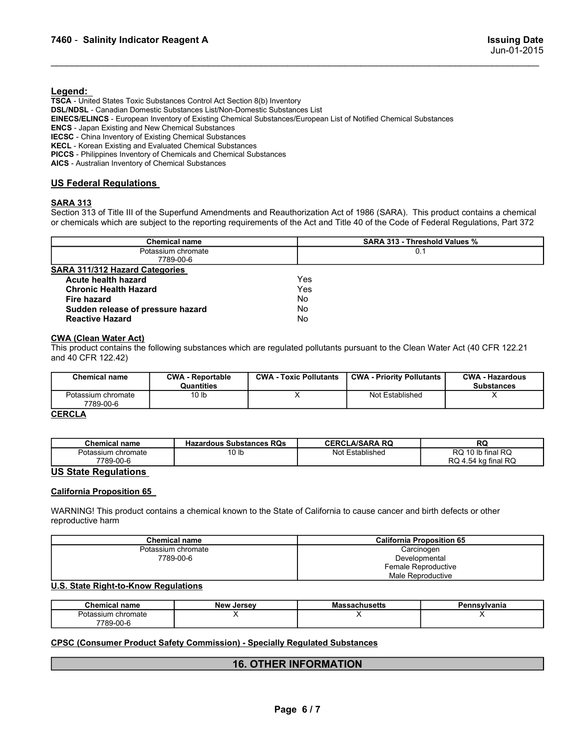# Legend:

7460 - Salinity Indicator Reagent A<br>Issuing Date<br>Legend:<br>TSCA Libited States Texic Substances Central Act Section 8(b) Inventory TSCA - United States Toxic Substances Control Act Section 8(b) Inventory DSL/NDSL - Canadian Domestic Substances List/Non-Domestic Substances List EINECS/ELINCS - European Inventory of Existing Chemical Substances/European List of Notified Chemical Substances ENCS - Japan Existing and New Chemical Substances IECSC - China Inventory of Existing Chemical Substances KECL - Korean Existing and Evaluated Chemical Substances PICCS - Philippines Inventory of Chemicals and Chemical Substances **TAGO - Salinity Indicator Reagent A**<br> **Legend:**<br> **TSCA - United States Toxic Substances Control Act Section 8(b) Inventory<br>
<b>TSCA - United States Toxic Substances Control Act Section 8(b) Inventory<br>
ENCS - Japan Existing** Section 313 of Title III of the Superfund Amendments and Reauthorization Act of 1986 (SAR4). This product contains a chemical Superfund Amendments Customestic Substances List<br>
ENCS - Japan Existen Towns of Existing Chemica **Chemical Statistics which are subject to the report of the report of the report of the report of the report of the report of the report of the report of the report of the report of the report of the report of the report o** 

| 7460 - Salinity Indicator Reagent A                                                                                       |                                                                                                                                                                                                                                                                                                                                                                                                                                                                               |                               |                   | <b>Issuing Date</b><br>Jun-01-2015                 |                                                |
|---------------------------------------------------------------------------------------------------------------------------|-------------------------------------------------------------------------------------------------------------------------------------------------------------------------------------------------------------------------------------------------------------------------------------------------------------------------------------------------------------------------------------------------------------------------------------------------------------------------------|-------------------------------|-------------------|----------------------------------------------------|------------------------------------------------|
| Legend:<br><b>ENCS</b> - Japan Existing and New Chemical Substances<br>AICS - Australian Inventory of Chemical Substances | TSCA - United States Toxic Substances Control Act Section 8(b) Inventory<br>DSL/NDSL - Canadian Domestic Substances List/Non-Domestic Substances List<br>EINECS/ELINCS - European Inventory of Existing Chemical Substances/European List of Notified Chemical Substances<br><b>IECSC</b> - China Inventory of Existing Chemical Substances<br>KECL - Korean Existing and Evaluated Chemical Substances<br>PICCS - Philippines Inventory of Chemicals and Chemical Substances |                               |                   |                                                    |                                                |
| <b>US Federal Regulations</b><br><b>SARA 313</b>                                                                          | Section 313 of Title III of the Superfund Amendments and Reauthorization Act of 1986 (SARA). This product contains a chemical<br>or chemicals which are subject to the reporting requirements of the Act and Title 40 of the Code of Federal Regulations, Part 372                                                                                                                                                                                                            |                               |                   |                                                    |                                                |
|                                                                                                                           | <b>Chemical name</b>                                                                                                                                                                                                                                                                                                                                                                                                                                                          |                               |                   | SARA 313 - Threshold Values %                      |                                                |
|                                                                                                                           | Potassium chromate<br>7789-00-6                                                                                                                                                                                                                                                                                                                                                                                                                                               |                               |                   | 0.1                                                |                                                |
| <b>SARA 311/312 Hazard Categories</b><br>Acute health hazard<br><b>Chronic Health Hazard</b><br><b>Fire hazard</b>        |                                                                                                                                                                                                                                                                                                                                                                                                                                                                               |                               | Yes<br>Yes<br>No. |                                                    |                                                |
| Sudden release of pressure hazard<br><b>Reactive Hazard</b>                                                               |                                                                                                                                                                                                                                                                                                                                                                                                                                                                               | No<br>No                      |                   |                                                    |                                                |
| <b>CWA (Clean Water Act)</b><br>and 40 CFR 122.42)                                                                        | This product contains the following substances which are regulated pollutants pursuant to the Clean Water Act (40 CFR 122.21                                                                                                                                                                                                                                                                                                                                                  |                               |                   |                                                    |                                                |
| <b>Chemical name</b>                                                                                                      | <b>CWA - Reportable</b>                                                                                                                                                                                                                                                                                                                                                                                                                                                       | <b>CWA - Toxic Pollutants</b> |                   | <b>CWA - Priority Pollutants</b>                   | <b>CWA - Hazardous</b>                         |
| Potassium chromate<br>7789-00-6                                                                                           | Quantities<br>10 <sub>lb</sub>                                                                                                                                                                                                                                                                                                                                                                                                                                                | $\mathsf{X}$                  | Not Established   |                                                    | <b>Substances</b><br>X                         |
| <b>CERCLA</b>                                                                                                             |                                                                                                                                                                                                                                                                                                                                                                                                                                                                               |                               |                   |                                                    |                                                |
|                                                                                                                           |                                                                                                                                                                                                                                                                                                                                                                                                                                                                               |                               |                   |                                                    |                                                |
| <b>Chemical name</b><br>Potassium chromate<br>7789-00-6                                                                   | <b>Hazardous Substances RQs</b><br>10 <sub>lb</sub>                                                                                                                                                                                                                                                                                                                                                                                                                           |                               |                   | <b>CERCLA/SARA RQ</b><br>Not Established           | RQ<br>RQ 10 lb final RQ<br>RQ 4.54 kg final RQ |
| <b>US State Regulations</b>                                                                                               |                                                                                                                                                                                                                                                                                                                                                                                                                                                                               |                               |                   |                                                    |                                                |
| <b>California Proposition 65</b>                                                                                          |                                                                                                                                                                                                                                                                                                                                                                                                                                                                               |                               |                   |                                                    |                                                |
| reproductive harm                                                                                                         | WARNING! This product contains a chemical known to the State of California to cause cancer and birth defects or other                                                                                                                                                                                                                                                                                                                                                         |                               |                   |                                                    |                                                |
|                                                                                                                           | <b>Chemical name</b>                                                                                                                                                                                                                                                                                                                                                                                                                                                          |                               |                   | <b>California Proposition 65</b>                   |                                                |
|                                                                                                                           | Potassium chromate<br>7789-00-6                                                                                                                                                                                                                                                                                                                                                                                                                                               |                               |                   | Carcinogen<br>Developmental<br>Female Reproductive |                                                |
|                                                                                                                           |                                                                                                                                                                                                                                                                                                                                                                                                                                                                               |                               |                   | Male Reproductive                                  |                                                |

| Established<br>Not<br><sup>o</sup> otassium chromate<br>טו<br>7789-00-6 | Chemical name | ∩ M∆<br>- Reportable<br>◡₩<br>Quantities | <b>CWA</b><br><b>Toxic Pollutants</b> | <b>CWA</b><br><b>A</b> - Priority Pollutants | <b>CWA</b><br>- Hazardous<br><b>Substances</b> |
|-------------------------------------------------------------------------|---------------|------------------------------------------|---------------------------------------|----------------------------------------------|------------------------------------------------|
|                                                                         |               |                                          |                                       |                                              |                                                |

## **CERCLA**

| <b>Chemical name</b>            | <b>Hazardous Substances RQs</b> | <b>CERCLA/SARA RQ</b>          | <b>RQ</b>                                                                                    |
|---------------------------------|---------------------------------|--------------------------------|----------------------------------------------------------------------------------------------|
| Potassium chromate<br>7789-00-6 | 10 lb                           | Established<br>Not<br>$-$ oten | $\sim$<br>RQ<br>10 lb final RQ<br>$\overline{\phantom{a}}$<br>nn<br>I.54 kg final RQ<br>rw 4 |

| Sudden release of pressure hazard<br>No<br>No<br><b>Reactive Hazard</b><br><b>CWA (Clean Water Act)</b><br><b>CWA - Toxic Pollutants</b><br><b>CWA - Priority Pollutants</b><br><b>Chemical name</b><br><b>CWA - Reportable</b><br><b>CWA - Hazardous</b><br>Quantities<br><b>Substances</b><br>$\overline{\mathsf{x}}$<br>Potassium chromate<br>10 <sub>lb</sub><br>Not Established<br>X<br>7789-00-6<br><b>CERCLA/SARA RQ</b><br><b>RQ</b><br><b>Chemical name</b><br><b>Hazardous Substances RQs</b><br>RQ 10 lb final RQ<br>Potassium chromate<br>10 <sub>lb</sub><br>Not Established<br>7789-00-6<br>RQ 4.54 kg final RQ<br><b>US State Regulations</b><br><b>California Proposition 65</b><br>WARNING! This product contains a chemical known to the State of California to cause cancer and birth defects or other<br>reproductive harm<br><b>California Proposition 65</b><br><b>Chemical name</b><br>Potassium chromate<br>Carcinogen<br>7789-00-6<br>Developmental<br>Female Reproductive<br>Male Reproductive<br><b>U.S. State Right-to-Know Regulations</b><br><b>Chemical name</b><br><b>New Jersey</b><br><b>Massachusetts</b><br>Pennsylvania<br>Potassium chromate<br>$\times$<br>$\times$<br>$\times$<br>7789-00-6<br><b>CPSC (Consumer Product Safety Commission) - Specially Regulated Substances</b><br><b>16. OTHER INFORMATION</b><br>Page 6/7 | <b>Fire hazard</b> | No |  |  |
|----------------------------------------------------------------------------------------------------------------------------------------------------------------------------------------------------------------------------------------------------------------------------------------------------------------------------------------------------------------------------------------------------------------------------------------------------------------------------------------------------------------------------------------------------------------------------------------------------------------------------------------------------------------------------------------------------------------------------------------------------------------------------------------------------------------------------------------------------------------------------------------------------------------------------------------------------------------------------------------------------------------------------------------------------------------------------------------------------------------------------------------------------------------------------------------------------------------------------------------------------------------------------------------------------------------------------------------------------------------------|--------------------|----|--|--|
| This product contains the following substances which are regulated pollutants pursuant to the Clean Water Act (40 CFR 122.21<br>and 40 CFR 122.42)<br><b>CERCLA</b>                                                                                                                                                                                                                                                                                                                                                                                                                                                                                                                                                                                                                                                                                                                                                                                                                                                                                                                                                                                                                                                                                                                                                                                                  |                    |    |  |  |
|                                                                                                                                                                                                                                                                                                                                                                                                                                                                                                                                                                                                                                                                                                                                                                                                                                                                                                                                                                                                                                                                                                                                                                                                                                                                                                                                                                      |                    |    |  |  |
|                                                                                                                                                                                                                                                                                                                                                                                                                                                                                                                                                                                                                                                                                                                                                                                                                                                                                                                                                                                                                                                                                                                                                                                                                                                                                                                                                                      |                    |    |  |  |
|                                                                                                                                                                                                                                                                                                                                                                                                                                                                                                                                                                                                                                                                                                                                                                                                                                                                                                                                                                                                                                                                                                                                                                                                                                                                                                                                                                      |                    |    |  |  |
|                                                                                                                                                                                                                                                                                                                                                                                                                                                                                                                                                                                                                                                                                                                                                                                                                                                                                                                                                                                                                                                                                                                                                                                                                                                                                                                                                                      |                    |    |  |  |
|                                                                                                                                                                                                                                                                                                                                                                                                                                                                                                                                                                                                                                                                                                                                                                                                                                                                                                                                                                                                                                                                                                                                                                                                                                                                                                                                                                      |                    |    |  |  |
|                                                                                                                                                                                                                                                                                                                                                                                                                                                                                                                                                                                                                                                                                                                                                                                                                                                                                                                                                                                                                                                                                                                                                                                                                                                                                                                                                                      |                    |    |  |  |
|                                                                                                                                                                                                                                                                                                                                                                                                                                                                                                                                                                                                                                                                                                                                                                                                                                                                                                                                                                                                                                                                                                                                                                                                                                                                                                                                                                      |                    |    |  |  |
|                                                                                                                                                                                                                                                                                                                                                                                                                                                                                                                                                                                                                                                                                                                                                                                                                                                                                                                                                                                                                                                                                                                                                                                                                                                                                                                                                                      |                    |    |  |  |
|                                                                                                                                                                                                                                                                                                                                                                                                                                                                                                                                                                                                                                                                                                                                                                                                                                                                                                                                                                                                                                                                                                                                                                                                                                                                                                                                                                      |                    |    |  |  |
|                                                                                                                                                                                                                                                                                                                                                                                                                                                                                                                                                                                                                                                                                                                                                                                                                                                                                                                                                                                                                                                                                                                                                                                                                                                                                                                                                                      |                    |    |  |  |
|                                                                                                                                                                                                                                                                                                                                                                                                                                                                                                                                                                                                                                                                                                                                                                                                                                                                                                                                                                                                                                                                                                                                                                                                                                                                                                                                                                      |                    |    |  |  |
|                                                                                                                                                                                                                                                                                                                                                                                                                                                                                                                                                                                                                                                                                                                                                                                                                                                                                                                                                                                                                                                                                                                                                                                                                                                                                                                                                                      |                    |    |  |  |
|                                                                                                                                                                                                                                                                                                                                                                                                                                                                                                                                                                                                                                                                                                                                                                                                                                                                                                                                                                                                                                                                                                                                                                                                                                                                                                                                                                      |                    |    |  |  |
|                                                                                                                                                                                                                                                                                                                                                                                                                                                                                                                                                                                                                                                                                                                                                                                                                                                                                                                                                                                                                                                                                                                                                                                                                                                                                                                                                                      |                    |    |  |  |
|                                                                                                                                                                                                                                                                                                                                                                                                                                                                                                                                                                                                                                                                                                                                                                                                                                                                                                                                                                                                                                                                                                                                                                                                                                                                                                                                                                      |                    |    |  |  |
|                                                                                                                                                                                                                                                                                                                                                                                                                                                                                                                                                                                                                                                                                                                                                                                                                                                                                                                                                                                                                                                                                                                                                                                                                                                                                                                                                                      |                    |    |  |  |
|                                                                                                                                                                                                                                                                                                                                                                                                                                                                                                                                                                                                                                                                                                                                                                                                                                                                                                                                                                                                                                                                                                                                                                                                                                                                                                                                                                      |                    |    |  |  |
|                                                                                                                                                                                                                                                                                                                                                                                                                                                                                                                                                                                                                                                                                                                                                                                                                                                                                                                                                                                                                                                                                                                                                                                                                                                                                                                                                                      |                    |    |  |  |
|                                                                                                                                                                                                                                                                                                                                                                                                                                                                                                                                                                                                                                                                                                                                                                                                                                                                                                                                                                                                                                                                                                                                                                                                                                                                                                                                                                      |                    |    |  |  |
|                                                                                                                                                                                                                                                                                                                                                                                                                                                                                                                                                                                                                                                                                                                                                                                                                                                                                                                                                                                                                                                                                                                                                                                                                                                                                                                                                                      |                    |    |  |  |
|                                                                                                                                                                                                                                                                                                                                                                                                                                                                                                                                                                                                                                                                                                                                                                                                                                                                                                                                                                                                                                                                                                                                                                                                                                                                                                                                                                      |                    |    |  |  |
|                                                                                                                                                                                                                                                                                                                                                                                                                                                                                                                                                                                                                                                                                                                                                                                                                                                                                                                                                                                                                                                                                                                                                                                                                                                                                                                                                                      |                    |    |  |  |
|                                                                                                                                                                                                                                                                                                                                                                                                                                                                                                                                                                                                                                                                                                                                                                                                                                                                                                                                                                                                                                                                                                                                                                                                                                                                                                                                                                      |                    |    |  |  |
|                                                                                                                                                                                                                                                                                                                                                                                                                                                                                                                                                                                                                                                                                                                                                                                                                                                                                                                                                                                                                                                                                                                                                                                                                                                                                                                                                                      |                    |    |  |  |
|                                                                                                                                                                                                                                                                                                                                                                                                                                                                                                                                                                                                                                                                                                                                                                                                                                                                                                                                                                                                                                                                                                                                                                                                                                                                                                                                                                      |                    |    |  |  |
|                                                                                                                                                                                                                                                                                                                                                                                                                                                                                                                                                                                                                                                                                                                                                                                                                                                                                                                                                                                                                                                                                                                                                                                                                                                                                                                                                                      |                    |    |  |  |
|                                                                                                                                                                                                                                                                                                                                                                                                                                                                                                                                                                                                                                                                                                                                                                                                                                                                                                                                                                                                                                                                                                                                                                                                                                                                                                                                                                      |                    |    |  |  |
|                                                                                                                                                                                                                                                                                                                                                                                                                                                                                                                                                                                                                                                                                                                                                                                                                                                                                                                                                                                                                                                                                                                                                                                                                                                                                                                                                                      |                    |    |  |  |
|                                                                                                                                                                                                                                                                                                                                                                                                                                                                                                                                                                                                                                                                                                                                                                                                                                                                                                                                                                                                                                                                                                                                                                                                                                                                                                                                                                      |                    |    |  |  |

| <b>Chemical name</b> | <b>New Jersey</b> | <b>Massachusetts</b> | Pennsylvania |
|----------------------|-------------------|----------------------|--------------|
| Potassium chromate   |                   | . .                  |              |
| 7789-00-6            |                   |                      |              |

# 16. OTHER INFORMATION